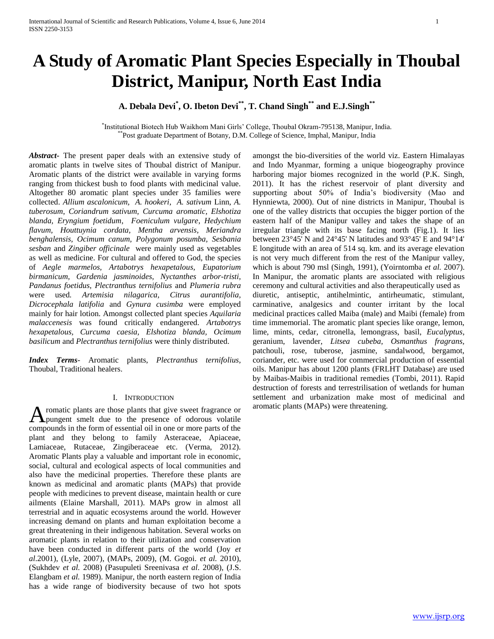# **A Study of Aromatic Plant Species Especially in Thoubal District, Manipur, North East India**

# **A. Debala Devi\* , O. Ibeton Devi\*\*, T. Chand Singh\*\* and E.J.Singh\*\***

\* Institutional Biotech Hub Waikhom Mani Girls' College, Thoubal Okram-795138, Manipur, India. \*\*Post graduate Department of Botany, D.M. College of Science, Imphal, Manipur, India

*Abstract***-** The present paper deals with an extensive study of aromatic plants in twelve sites of Thoubal district of Manipur. Aromatic plants of the district were available in varying forms ranging from thickest bush to food plants with medicinal value. Altogether 80 aromatic plant species under 35 families were collected. *Allium ascalonicum, A. hookeri*, *A. sativum* Linn, *A. tuberosum*, *Coriandrum sativum, Curcuma aromatic, Elshotiza blanda, Eryngium foetidum*, *Foeniculum vulgare*, *Hedychium flavum, Houttuynia cordata, Mentha arvensis, Meriandra benghalensis, Ocimum canum, Polygonum posumba, Sesbania sesban* and *Zingiber officinale* were mainly used as vegetables as well as medicine. For cultural and offered to God, the species of *Aegle marmelos, Artabotrys hexapetalous, Eupatorium birmanicum, Gardenia jasminoides, Nyctanthes arbor-tristi, Pandanus foetidus, Plectranthus ternifolius* and *Plumeria rubra*  were used*. Artemisia nilagarica, Citrus aurantifolia, Dicrocephala latifolia* and *Gynura cusimba* were employed mainly for hair lotion. Amongst collected plant species *Aquilaria malaccenesis* was found critically endangered. *Artabotrys hexapetalous, Curcuma caesia, Elshotiza blanda, Ocimum basilicum* and *Plectranthus ternifolius* were thinly distributed.

*Index Terms*- Aromatic plants, *Plectranthus ternifolius,*  Thoubal, Traditional healers.

## I. INTRODUCTION

romatic plants are those plants that give sweet fragrance or A romatic plants are those plants that give sweet fragrance or aromatic plants (MAPs) were threatening.<br>
A pungent smelt due to the presence of odorous volatile compounds in the form of essential oil in one or more parts of the plant and they belong to family Asteraceae, Apiaceae, Lamiaceae, Rutaceae, Zingiberaceae etc. (Verma, 2012). Aromatic Plants play a valuable and important role in economic, social, cultural and ecological aspects of local communities and also have the medicinal properties. Therefore these plants are known as medicinal and aromatic plants (MAPs) that provide people with medicines to prevent disease, maintain health or cure ailments (Elaine Marshall, 2011). MAPs grow in almost all terrestrial and in aquatic ecosystems around the world. However increasing demand on plants and human exploitation become a great threatening in their indigenous habitation. Several works on aromatic plants in relation to their utilization and conservation have been conducted in different parts of the world (Joy *et al*.2001), (Lyle, 2007), (MAPs, 2009), (M. Gogoi. *et al.* 2010), (Sukhdev *et al.* 2008) (Pasupuleti Sreenivasa *et al*. 2008), (J.S. Elangbam *et al.* 1989). Manipur, the north eastern region of India has a wide range of biodiversity because of two hot spots

amongst the bio-diversities of the world viz. Eastern Himalayas and Indo Myanmar, forming a unique biogeography province harboring major biomes recognized in the world (P.K. Singh, 2011). It has the richest reservoir of plant diversity and supporting about 50% of India's biodiversity (Mao and Hynniewta, 2000). Out of nine districts in Manipur, Thoubal is one of the valley districts that occupies the bigger portion of the eastern half of the Manipur valley and takes the shape of an irregular triangle with its base facing north (Fig.1). It lies between 23°45' N and 24°45' N latitudes and 93°45' E and 94°14' E longitude with an area of 514 sq. km. and its average elevation is not very much different from the rest of the Manipur valley, which is about 790 msl (Singh, 1991), (Yoirntomba *et al.* 2007). In Manipur, the aromatic plants are associated with religious ceremony and cultural activities and also therapeutically used as diuretic, antiseptic, antihelmintic, antirheumatic, stimulant, carminative, analgesics and counter irritant by the local medicinal practices called Maiba (male) and Maibi (female) from time immemorial. The aromatic plant species like orange, lemon, lime, mints, cedar*,* citronella, lemongrass, basil, *Eucalyptus*, geranium, lavender, *Litsea cubeba, Osmanthus fragrans,*  patchouli, rose, tuberose, jasmine, sandalwood, bergamot, coriander, etc. were used for commercial production of essential oils. Manipur has about 1200 plants (FRLHT Database) are used by Maibas-Maibis in traditional remedies (Tombi, 2011). Rapid destruction of forests and terrestrilisation of wetlands for human settlement and urbanization make most of medicinal and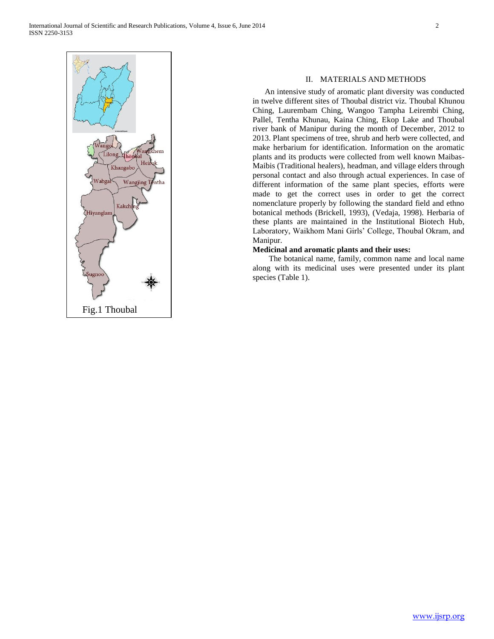

## II. MATERIALS AND METHODS

 An intensive study of aromatic plant diversity was conducted in twelve different sites of Thoubal district viz. Thoubal Khunou Ching, Laurembam Ching, Wangoo Tampha Leirembi Ching, Pallel, Tentha Khunau, Kaina Ching, Ekop Lake and Thoubal river bank of Manipur during the month of December, 2012 to 2013. Plant specimens of tree, shrub and herb were collected, and make herbarium for identification. Information on the aromatic plants and its products were collected from well known Maibas-Maibis (Traditional healers), headman, and village elders through personal contact and also through actual experiences. In case of different information of the same plant species, efforts were made to get the correct uses in order to get the correct nomenclature properly by following the standard field and ethno botanical methods (Brickell, 1993), (Vedaja, 1998). Herbaria of these plants are maintained in the Institutional Biotech Hub, Laboratory, Waikhom Mani Girls' College, Thoubal Okram, and Manipur.

## **Medicinal and aromatic plants and their uses:**

 The botanical name, family, common name and local name along with its medicinal uses were presented under its plant species (Table 1).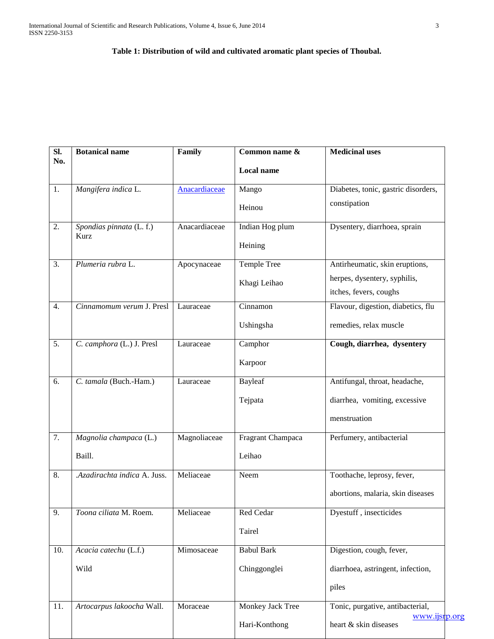# **Table 1: Distribution of wild and cultivated aromatic plant species of Thoubal.**

| SI.<br>No.       | <b>Botanical name</b>        | Family        | Common name &     | <b>Medicinal uses</b>               |
|------------------|------------------------------|---------------|-------------------|-------------------------------------|
|                  |                              |               | <b>Local name</b> |                                     |
| 1.               | Mangifera indica L.          | Anacardiaceae | Mango             | Diabetes, tonic, gastric disorders, |
|                  |                              |               | Heinou            | constipation                        |
| 2.               | Spondias pinnata (L. f.)     | Anacardiaceae | Indian Hog plum   | Dysentery, diarrhoea, sprain        |
|                  | Kurz                         |               | Heining           |                                     |
| 3.               | Plumeria rubra L.            | Apocynaceae   | Temple Tree       | Antirheumatic, skin eruptions,      |
|                  |                              |               | Khagi Leihao      | herpes, dysentery, syphilis,        |
|                  |                              |               |                   | itches, fevers, coughs              |
| 4.               | Cinnamomum verum J. Presl    | Lauraceae     | Cinnamon          | Flavour, digestion, diabetics, flu  |
|                  |                              |               | Ushingsha         | remedies, relax muscle              |
| $\overline{5}$ . | C. camphora (L.) J. Presl    | Lauraceae     | Camphor           | Cough, diarrhea, dysentery          |
|                  |                              |               | Karpoor           |                                     |
| 6.               | C. tamala (Buch.-Ham.)       | Lauraceae     | <b>Bayleaf</b>    | Antifungal, throat, headache,       |
|                  |                              |               | Tejpata           | diarrhea, vomiting, excessive       |
|                  |                              |               |                   | menstruation                        |
| 7.               | Magnolia champaca (L.)       | Magnoliaceae  | Fragrant Champaca | Perfumery, antibacterial            |
|                  | Baill.                       |               | Leihao            |                                     |
| 8.               | .Azadirachta indica A. Juss. | Meliaceae     | Neem              | Toothache, leprosy, fever,          |
|                  |                              |               |                   | abortions, malaria, skin diseases   |
| 9.               | Toona ciliata M. Roem.       | Meliaceae     | Red Cedar         | Dyestuff, insecticides              |
|                  |                              |               | Tairel            |                                     |
| 10.              | Acacia catechu (L.f.)        | Mimosaceae    | <b>Babul Bark</b> | Digestion, cough, fever,            |
|                  | Wild                         |               | Chinggonglei      | diarrhoea, astringent, infection,   |
|                  |                              |               |                   | piles                               |
| 11.              | Artocarpus lakoocha Wall.    | Moraceae      | Monkey Jack Tree  | Tonic, purgative, antibacterial,    |
|                  |                              |               |                   | www.ijsrp.org                       |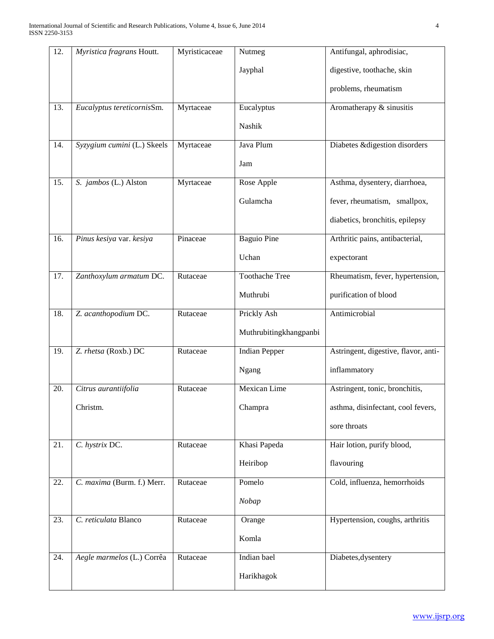| 12.               | Myristica fragrans Houtt.   | Myristicaceae | Nutmeg                 | Antifungal, aphrodisiac,             |
|-------------------|-----------------------------|---------------|------------------------|--------------------------------------|
|                   |                             |               | Jayphal                | digestive, toothache, skin           |
|                   |                             |               |                        | problems, rheumatism                 |
| $\overline{13}$ . | Eucalyptus tereticornisSm.  | Myrtaceae     | Eucalyptus             | Aromatherapy & sinusitis             |
|                   |                             |               | Nashik                 |                                      |
| 14.               | Syzygium cumini (L.) Skeels | Myrtaceae     | Java Plum              | Diabetes & digestion disorders       |
|                   |                             |               | Jam                    |                                      |
| 15.               | S. jambos (L.) Alston       | Myrtaceae     | Rose Apple             | Asthma, dysentery, diarrhoea,        |
|                   |                             |               | Gulamcha               | fever, rheumatism, smallpox,         |
|                   |                             |               |                        | diabetics, bronchitis, epilepsy      |
| 16.               | Pinus kesiya var. kesiya    | Pinaceae      | <b>Baguio Pine</b>     | Arthritic pains, antibacterial,      |
|                   |                             |               | Uchan                  | expectorant                          |
| 17.               | Zanthoxylum armatum DC.     | Rutaceae      | <b>Toothache Tree</b>  | Rheumatism, fever, hypertension,     |
|                   |                             |               | Muthrubi               | purification of blood                |
| 18.               | Z. acanthopodium DC.        | Rutaceae      | Prickly Ash            | Antimicrobial                        |
|                   |                             |               | Muthrubitingkhangpanbi |                                      |
| 19.               | Z. rhetsa (Roxb.) DC        | Rutaceae      | <b>Indian Pepper</b>   | Astringent, digestive, flavor, anti- |
|                   |                             |               | Ngang                  | inflammatory                         |
| 20.               | Citrus aurantiifolia        | Rutaceae      | Mexican Lime           | Astringent, tonic, bronchitis,       |
|                   | Christm.                    |               | Champra                | asthma, disinfectant, cool fevers,   |
|                   |                             |               |                        | sore throats                         |
| 21.               | C. hystrix DC.              | Rutaceae      | Khasi Papeda           | Hair lotion, purify blood,           |
|                   |                             |               | Heiribop               | flavouring                           |
| 22.               | C. maxima (Burm. f.) Merr.  | Rutaceae      | Pomelo                 | Cold, influenza, hemorrhoids         |
|                   |                             |               | Nobap                  |                                      |
| 23.               | C. reticulata Blanco        | Rutaceae      | Orange                 | Hypertension, coughs, arthritis      |
|                   |                             |               | Komla                  |                                      |
| 24.               | Aegle marmelos (L.) Corrêa  | Rutaceae      | Indian bael            | Diabetes, dysentery                  |
|                   |                             |               | Harikhagok             |                                      |
|                   |                             |               |                        |                                      |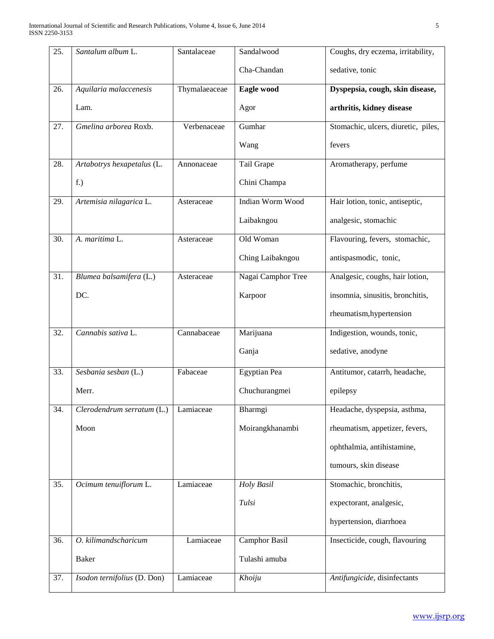| 25. | Santalum album L.           | Santalaceae   | Sandalwood         | Coughs, dry eczema, irritability,   |
|-----|-----------------------------|---------------|--------------------|-------------------------------------|
|     |                             |               | Cha-Chandan        | sedative, tonic                     |
| 26. | Aquilaria malaccenesis      | Thymalaeaceae | Eagle wood         | Dyspepsia, cough, skin disease,     |
|     | Lam.                        |               | Agor               | arthritis, kidney disease           |
| 27. | Gmelina arborea Roxb.       | Verbenaceae   | Gumhar             | Stomachic, ulcers, diuretic, piles, |
|     |                             |               | Wang               | fevers                              |
| 28. | Artabotrys hexapetalus (L.  | Annonaceae    | Tail Grape         | Aromatherapy, perfume               |
|     | f.)                         |               | Chini Champa       |                                     |
| 29. | Artemisia nilagarica L.     | Asteraceae    | Indian Worm Wood   | Hair lotion, tonic, antiseptic,     |
|     |                             |               | Laibakngou         | analgesic, stomachic                |
| 30. | A. maritima L.              | Asteraceae    | Old Woman          | Flavouring, fevers, stomachic,      |
|     |                             |               | Ching Laibakngou   | antispasmodic, tonic,               |
| 31. | Blumea balsamifera (L.)     | Asteraceae    | Nagai Camphor Tree | Analgesic, coughs, hair lotion,     |
|     | DC.                         |               | Karpoor            | insomnia, sinusitis, bronchitis,    |
|     |                             |               |                    | rheumatism, hypertension            |
| 32. | Cannabis sativa L.          | Cannabaceae   | Marijuana          | Indigestion, wounds, tonic,         |
|     |                             |               | Ganja              | sedative, anodyne                   |
| 33. | Sesbania sesban (L.)        | Fabaceae      | Egyptian Pea       | Antitumor, catarrh, headache,       |
|     | Merr.                       |               | Chuchurangmei      | epilepsy                            |
| 34. | Clerodendrum serratum (L.)  | Lamiaceae     | Bharmgi            | Headache, dyspepsia, asthma,        |
|     | Moon                        |               | Moirangkhanambi    | rheumatism, appetizer, fevers,      |
|     |                             |               |                    | ophthalmia, antihistamine,          |
|     |                             |               |                    | tumours, skin disease               |
| 35. | Ocimum tenuiflorum L.       | Lamiaceae     | Holy Basil         | Stomachic, bronchitis,              |
|     |                             |               | Tulsi              | expectorant, analgesic,             |
|     |                             |               |                    | hypertension, diarrhoea             |
| 36. | O. kilimandscharicum        | Lamiaceae     | Camphor Basil      | Insecticide, cough, flavouring      |
|     | <b>Baker</b>                |               | Tulashi amuba      |                                     |
| 37. | Isodon ternifolius (D. Don) | Lamiaceae     | Khoiju             | Antifungicide, disinfectants        |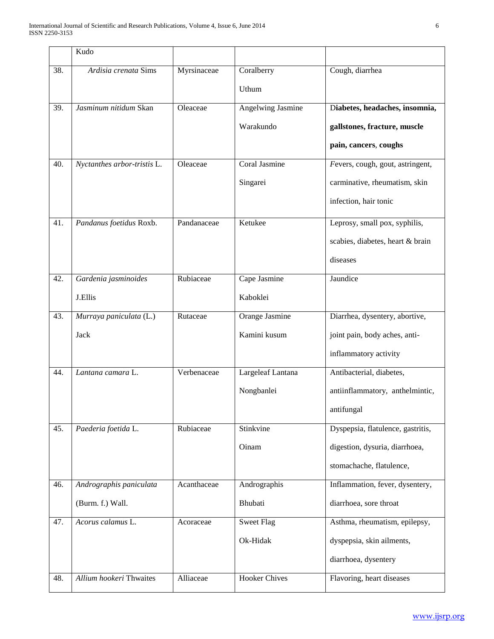|     | Kudo                        |             |                          |                                   |
|-----|-----------------------------|-------------|--------------------------|-----------------------------------|
| 38. | Ardisia crenata Sims        | Myrsinaceae | Coralberry<br>Uthum      | Cough, diarrhea                   |
| 39. | Jasminum nitidum Skan       | Oleaceae    | <b>Angelwing Jasmine</b> | Diabetes, headaches, insomnia,    |
|     |                             |             | Warakundo                | gallstones, fracture, muscle      |
|     |                             |             |                          | pain, cancers, coughs             |
| 40. | Nyctanthes arbor-tristis L. | Oleaceae    | Coral Jasmine            | Fevers, cough, gout, astringent,  |
|     |                             |             | Singarei                 | carminative, rheumatism, skin     |
|     |                             |             |                          | infection, hair tonic             |
| 41. | Pandanus foetidus Roxb.     | Pandanaceae | Ketukee                  | Leprosy, small pox, syphilis,     |
|     |                             |             |                          | scabies, diabetes, heart & brain  |
|     |                             |             |                          | diseases                          |
| 42. | Gardenia jasminoides        | Rubiaceae   | Cape Jasmine             | Jaundice                          |
|     | J.Ellis                     |             | Kaboklei                 |                                   |
| 43. | Murraya paniculata (L.)     | Rutaceae    | <b>Orange Jasmine</b>    | Diarrhea, dysentery, abortive,    |
|     | Jack                        |             | Kamini kusum             | joint pain, body aches, anti-     |
|     |                             |             |                          | inflammatory activity             |
| 44. | Lantana camara L.           | Verbenaceae | Largeleaf Lantana        | Antibacterial, diabetes,          |
|     |                             |             | Nongbanlei               | antiinflammatory, anthelmintic,   |
|     |                             |             |                          | antifungal                        |
| 45. | Paederia foetida L.         | Rubiaceae   | Stinkvine                | Dyspepsia, flatulence, gastritis, |
|     |                             |             | Oinam                    | digestion, dysuria, diarrhoea,    |
|     |                             |             |                          | stomachache, flatulence,          |
| 46. | Andrographis paniculata     | Acanthaceae | Andrographis             | Inflammation, fever, dysentery,   |
|     | (Burm. f.) Wall.            |             | Bhubati                  | diarrhoea, sore throat            |
| 47. | Acorus calamus L.           | Acoraceae   | <b>Sweet Flag</b>        | Asthma, rheumatism, epilepsy,     |
|     |                             |             | Ok-Hidak                 | dyspepsia, skin ailments,         |
|     |                             |             |                          | diarrhoea, dysentery              |
| 48. | Allium hookeri Thwaites     | Alliaceae   | <b>Hooker Chives</b>     | Flavoring, heart diseases         |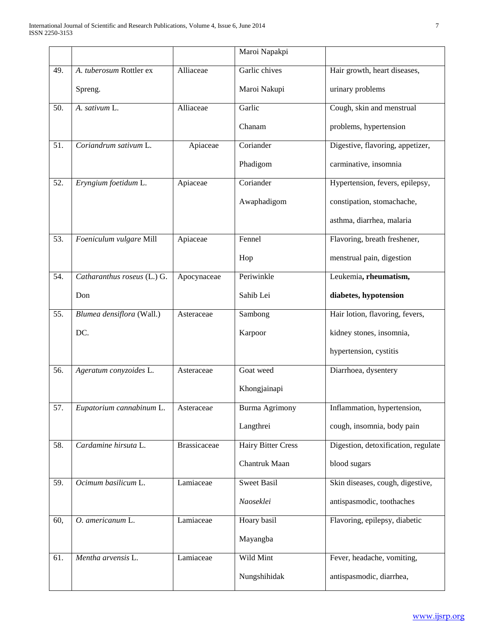|     |                             |                     | Maroi Napakpi             |                                     |
|-----|-----------------------------|---------------------|---------------------------|-------------------------------------|
| 49. | A. tuberosum Rottler ex     | Alliaceae           | Garlic chives             | Hair growth, heart diseases,        |
|     | Spreng.                     |                     | Maroi Nakupi              | urinary problems                    |
| 50. | A. sativum L.               | Alliaceae           | Garlic                    | Cough, skin and menstrual           |
|     |                             |                     | Chanam                    | problems, hypertension              |
| 51. | Coriandrum sativum L.       | Apiaceae            | Coriander                 | Digestive, flavoring, appetizer,    |
|     |                             |                     | Phadigom                  | carminative, insomnia               |
| 52. | Eryngium foetidum L.        | Apiaceae            | Coriander                 | Hypertension, fevers, epilepsy,     |
|     |                             |                     | Awaphadigom               | constipation, stomachache,          |
|     |                             |                     |                           | asthma, diarrhea, malaria           |
| 53. | Foeniculum vulgare Mill     | Apiaceae            | Fennel                    | Flavoring, breath freshener,        |
|     |                             |                     | Hop                       | menstrual pain, digestion           |
| 54. | Catharanthus roseus (L.) G. | Apocynaceae         | Periwinkle                | Leukemia, rheumatism,               |
|     | Don                         |                     | Sahib Lei                 | diabetes, hypotension               |
| 55. | Blumea densiflora (Wall.)   | Asteraceae          | Sambong                   | Hair lotion, flavoring, fevers,     |
|     | DC.                         |                     | Karpoor                   | kidney stones, insomnia,            |
|     |                             |                     |                           | hypertension, cystitis              |
| 56. | Ageratum conyzoides L.      | Asteraceae          | Goat weed                 | Diarrhoea, dysentery                |
|     |                             |                     | Khongjainapi              |                                     |
| 57. | Eupatorium cannabinum L.    | Asteraceae          | Burma Agrimony            | Inflammation, hypertension,         |
|     |                             |                     | Langthrei                 | cough, insomnia, body pain          |
| 58. | Cardamine hirsuta L.        | <b>Brassicaceae</b> | <b>Hairy Bitter Cress</b> | Digestion, detoxification, regulate |
|     |                             |                     | Chantruk Maan             | blood sugars                        |
| 59. | Ocimum basilicum L.         | Lamiaceae           | <b>Sweet Basil</b>        | Skin diseases, cough, digestive,    |
|     |                             |                     | Naoseklei                 | antispasmodic, toothaches           |
| 60, | O. americanum L.            | Lamiaceae           | Hoary basil               | Flavoring, epilepsy, diabetic       |
|     |                             |                     | Mayangba                  |                                     |
| 61. | Mentha arvensis L.          | Lamiaceae           | Wild Mint                 | Fever, headache, vomiting,          |
|     |                             |                     | Nungshihidak              | antispasmodic, diarrhea,            |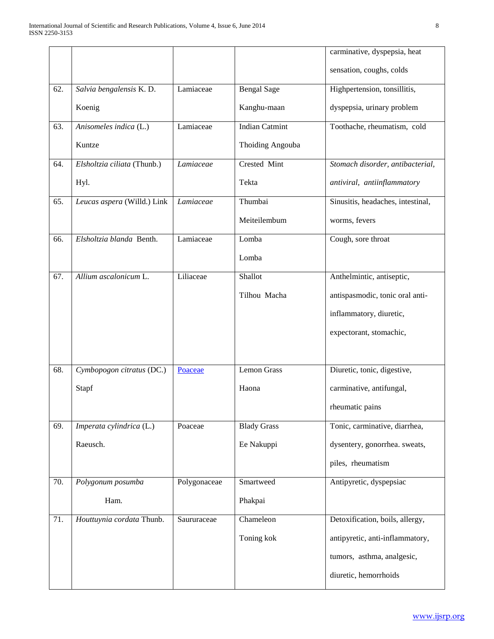|     |                             |              |                       | carminative, dyspepsia, heat      |
|-----|-----------------------------|--------------|-----------------------|-----------------------------------|
|     |                             |              |                       | sensation, coughs, colds          |
| 62. | Salvia bengalensis K.D.     | Lamiaceae    | <b>Bengal Sage</b>    | Highpertension, tonsillitis,      |
|     | Koenig                      |              | Kanghu-maan           | dyspepsia, urinary problem        |
| 63. | Anisomeles indica (L.)      | Lamiaceae    | <b>Indian Catmint</b> | Toothache, rheumatism, cold       |
|     | Kuntze                      |              | Thoiding Angouba      |                                   |
| 64. | Elsholtzia ciliata (Thunb.) | Lamiaceae    | Crested Mint          | Stomach disorder, antibacterial,  |
|     | Hyl.                        |              | Tekta                 | antiviral, antiinflammatory       |
| 65. | Leucas aspera (Willd.) Link | Lamiaceae    | Thumbai               | Sinusitis, headaches, intestinal, |
|     |                             |              | Meiteilembum          | worms, fevers                     |
| 66. | Elsholtzia blanda Benth.    | Lamiaceae    | Lomba                 | Cough, sore throat                |
|     |                             |              | Lomba                 |                                   |
| 67. | Allium ascalonicum L.       | Liliaceae    | Shallot               | Anthelmintic, antiseptic,         |
|     |                             |              | Tilhou Macha          | antispasmodic, tonic oral anti-   |
|     |                             |              |                       | inflammatory, diuretic,           |
|     |                             |              |                       | expectorant, stomachic,           |
|     |                             |              |                       |                                   |
| 68. | Cymbopogon citratus (DC.)   | Poaceae      | <b>Lemon Grass</b>    | Diuretic, tonic, digestive,       |
|     | Stapf                       |              | Haona                 | carminative, antifungal,          |
|     |                             |              |                       | rheumatic pains                   |
| 69. | Imperata cylindrica (L.)    | Poaceae      | <b>Blady Grass</b>    | Tonic, carminative, diarrhea,     |
|     | Raeusch.                    |              | Ee Nakuppi            | dysentery, gonorrhea. sweats,     |
|     |                             |              |                       | piles, rheumatism                 |
| 70. | Polygonum posumba           | Polygonaceae | Smartweed             | Antipyretic, dyspepsiac           |
|     | Ham.                        |              | Phakpai               |                                   |
| 71. | Houttuynia cordata Thunb.   | Saururaceae  | Chameleon             | Detoxification, boils, allergy,   |
|     |                             |              | Toning kok            | antipyretic, anti-inflammatory,   |
|     |                             |              |                       | tumors, asthma, analgesic,        |
|     |                             |              |                       | diuretic, hemorrhoids             |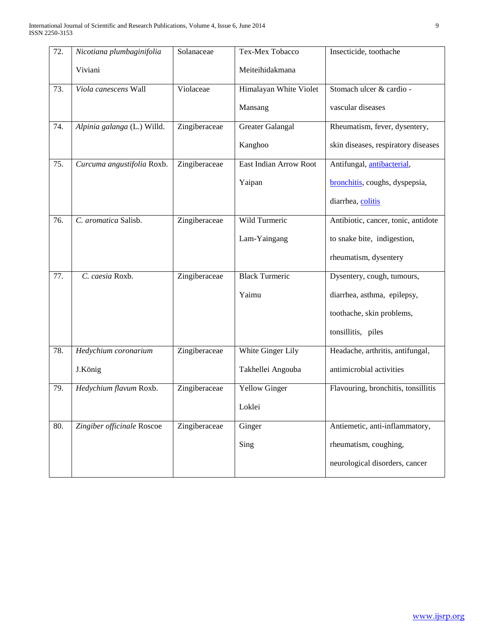| $\overline{72}$ . | Nicotiana plumbaginifolia   | Solanaceae    | Tex-Mex Tobacco         | Insecticide, toothache              |
|-------------------|-----------------------------|---------------|-------------------------|-------------------------------------|
|                   | Viviani                     |               | Meiteihidakmana         |                                     |
| 73.               | Viola canescens Wall        | Violaceae     | Himalayan White Violet  | Stomach ulcer & cardio -            |
|                   |                             |               | Mansang                 | vascular diseases                   |
| 74.               | Alpinia galanga (L.) Willd. | Zingiberaceae | <b>Greater Galangal</b> | Rheumatism, fever, dysentery,       |
|                   |                             |               | Kanghoo                 | skin diseases, respiratory diseases |
| 75.               | Curcuma angustifolia Roxb.  | Zingiberaceae | East Indian Arrow Root  | Antifungal, antibacterial,          |
|                   |                             |               | Yaipan                  | bronchitis, coughs, dyspepsia,      |
|                   |                             |               |                         | diarrhea, colitis                   |
| 76.               | C. aromatica Salisb.        | Zingiberaceae | Wild Turmeric           | Antibiotic, cancer, tonic, antidote |
|                   |                             |               | Lam-Yaingang            | to snake bite, indigestion,         |
|                   |                             |               |                         | rheumatism, dysentery               |
| 77.               | C. caesia Roxb.             | Zingiberaceae | <b>Black Turmeric</b>   | Dysentery, cough, tumours,          |
|                   |                             |               | Yaimu                   | diarrhea, asthma, epilepsy,         |
|                   |                             |               |                         | toothache, skin problems,           |
|                   |                             |               |                         | tonsillitis, piles                  |
| 78.               | Hedychium coronarium        | Zingiberaceae | White Ginger Lily       | Headache, arthritis, antifungal,    |
|                   | J.König                     |               | Takhellei Angouba       | antimicrobial activities            |
| 79.               | Hedychium flavum Roxb.      | Zingiberaceae | <b>Yellow Ginger</b>    | Flavouring, bronchitis, tonsillitis |
|                   |                             |               | Loklei                  |                                     |
| 80.               | Zingiber officinale Roscoe  | Zingiberaceae | Ginger                  | Antiemetic, anti-inflammatory,      |
|                   |                             |               | Sing                    | rheumatism, coughing,               |
|                   |                             |               |                         | neurological disorders, cancer      |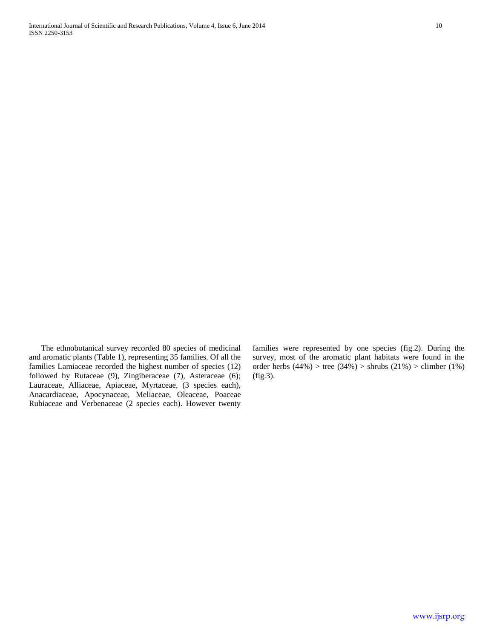The ethnobotanical survey recorded 80 species of medicinal and aromatic plants (Table 1), representing 35 families. Of all the families Lamiaceae recorded the highest number of species (12) followed by Rutaceae (9), Zingiberaceae (7), Asteraceae (6); Lauraceae, Alliaceae, Apiaceae, Myrtaceae, (3 species each), Anacardiaceae, Apocynaceae, Meliaceae, Oleaceae, Poaceae Rubiaceae and Verbenaceae (2 species each). However twenty families were represented by one species (fig.2). During the survey, most of the aromatic plant habitats were found in the order herbs  $(44%)$  > tree  $(34%)$  > shrubs  $(21%)$  > climber  $(1%)$ (fig.3).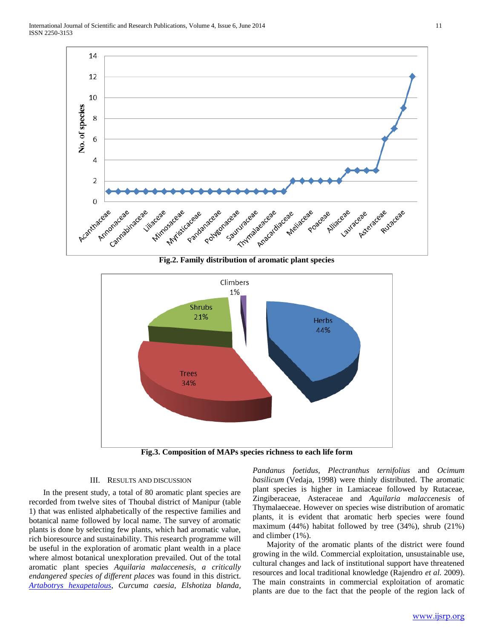

**Fig.2. Family distribution of aromatic plant species**



**Fig.3. Composition of MAPs species richness to each life form**

## III. RESULTS AND DISCUSSION

 In the present study, a total of 80 aromatic plant species are recorded from twelve sites of Thoubal district of Manipur (table 1) that was enlisted alphabetically of the respective families and botanical name followed by local name. The survey of aromatic plants is done by selecting few plants, which had aromatic value, rich bioresource and sustainability. This research programme will be useful in the exploration of aromatic plant wealth in a place where almost botanical unexploration prevailed. Out of the total aromatic plant species *Aquilaria malaccenesis, a critically endangered species of different places* was found in this district. *[Artabotrys hexapetalous](http://www.e-pao.net/epGallery.asp?id=5&src=Personal_Profile_Gallery/Dhanpyari20120912)*, *Curcuma caesia, Elshotiza blanda,* 

*Pandanus foetidus, Plectranthus ternifolius* and *Ocimum basilicum* (Vedaja, 1998) were thinly distributed. The aromatic plant species is higher in Lamiaceae followed by Rutaceae, Zingiberaceae, Asteraceae and *Aquilaria malaccenesis* of Thymalaeceae. However on species wise distribution of aromatic plants, it is evident that aromatic herb species were found maximum (44%) habitat followed by tree (34%), shrub (21%) and climber (1%).

 Majority of the aromatic plants of the district were found growing in the wild. Commercial exploitation, unsustainable use, cultural changes and lack of institutional support have threatened resources and local traditional knowledge (Rajendro *et al.* 2009). The main constraints in commercial exploitation of aromatic plants are due to the fact that the people of the region lack of